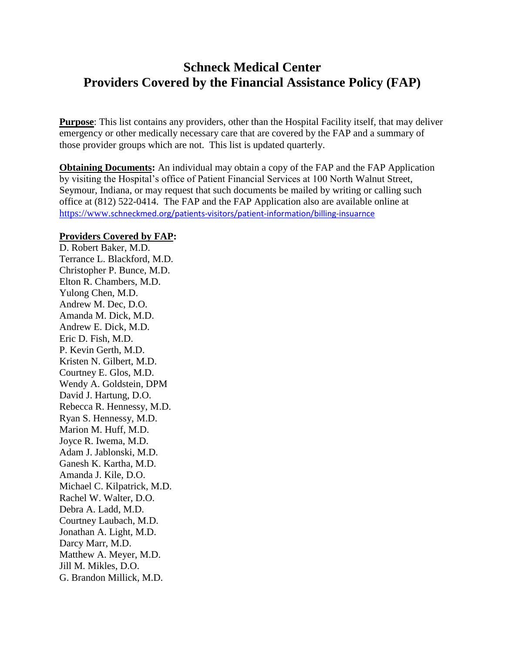## **Schneck Medical Center Providers Covered by the Financial Assistance Policy (FAP)**

**Purpose**: This list contains any providers, other than the Hospital Facility itself, that may deliver emergency or other medically necessary care that are covered by the FAP and a summary of those provider groups which are not. This list is updated quarterly.

**Obtaining Documents:** An individual may obtain a copy of the FAP and the FAP Application by visiting the Hospital's office of Patient Financial Services at 100 North Walnut Street, Seymour, Indiana, or may request that such documents be mailed by writing or calling such office at (812) 522-0414. The FAP and the FAP Application also are available online at https://www.[schneckmed.org/patients-visitors/patient-information/billing-insuarnce](https://www.schneckmed.org/patients-visitors/patient-information/billing-insuarnce)

## **Providers Covered by FAP:**

D. Robert Baker, M.D. Terrance L. Blackford, M.D. Christopher P. Bunce, M.D. Elton R. Chambers, M.D. Yulong Chen, M.D. Andrew M. Dec, D.O. Amanda M. Dick, M.D. Andrew E. Dick, M.D. Eric D. Fish, M.D. P. Kevin Gerth, M.D. Kristen N. Gilbert, M.D. Courtney E. Glos, M.D. Wendy A. Goldstein, DPM David J. Hartung, D.O. Rebecca R. Hennessy, M.D. Ryan S. Hennessy, M.D. Marion M. Huff, M.D. Joyce R. Iwema, M.D. Adam J. Jablonski, M.D. Ganesh K. Kartha, M.D. Amanda J. Kile, D.O. Michael C. Kilpatrick, M.D. Rachel W. Walter, D.O. Debra A. Ladd, M.D. Courtney Laubach, M.D. Jonathan A. Light, M.D. Darcy Marr, M.D. Matthew A. Meyer, M.D. Jill M. Mikles, D.O. G. Brandon Millick, M.D.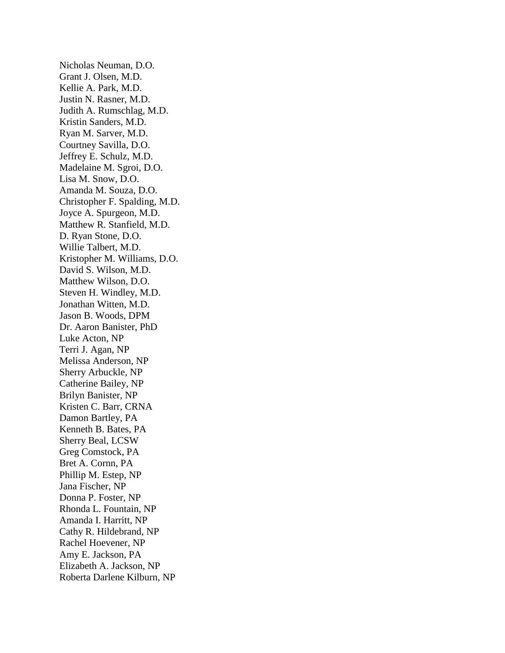Nicholas Neuman, D.O. Grant J. Olsen, M.D. Kellie A. Park, M.D. Justin N. Rasner, M.D. Judith A. Rumschlag, M.D. Kristin Sanders, M.D. Ryan M. Sarver, M.D. Courtney Savilla, D.O. Jeffrey E. Schulz, M.D. Madelaine M. Sgroi, D.O. Lisa M. Snow, D.O. Amanda M. Souza, D.O. Christopher F. Spalding, M.D. Joyce A. Spurgeon, M.D. Matthew R. Stanfield, M.D. D. Ryan Stone, D.O. Willie Talbert, M.D. Kristopher M. Williams, D.O. David S. Wilson, M.D. Matthew Wilson, D.O. Steven H. Windley, M.D. Jonathan Witten, M.D. Jason B. Woods, DPM Dr. Aaron Banister, PhD Luke Acton, NP Terri J. Agan, NP Melissa Anderson, NP Sherry Arbuckle, NP Catherine Bailey, NP Brilyn Banister, NP Kristen C. Barr, CRNA Damon Bartley, PA Kenneth B. Bates, PA Sherry Beal, LCSW Greg Comstock, PA Bret A. Cornn, PA Phillip M. Estep, NP Jana Fischer, NP Donna P. Foster, NP Rhonda L. Fountain, NP Amanda I. Harritt, NP Cathy R. Hildebrand, NP Rachel Hoevener, NP Amy E. Jackson, PA Elizabeth A. Jackson, NP Roberta Darlene Kilburn, NP